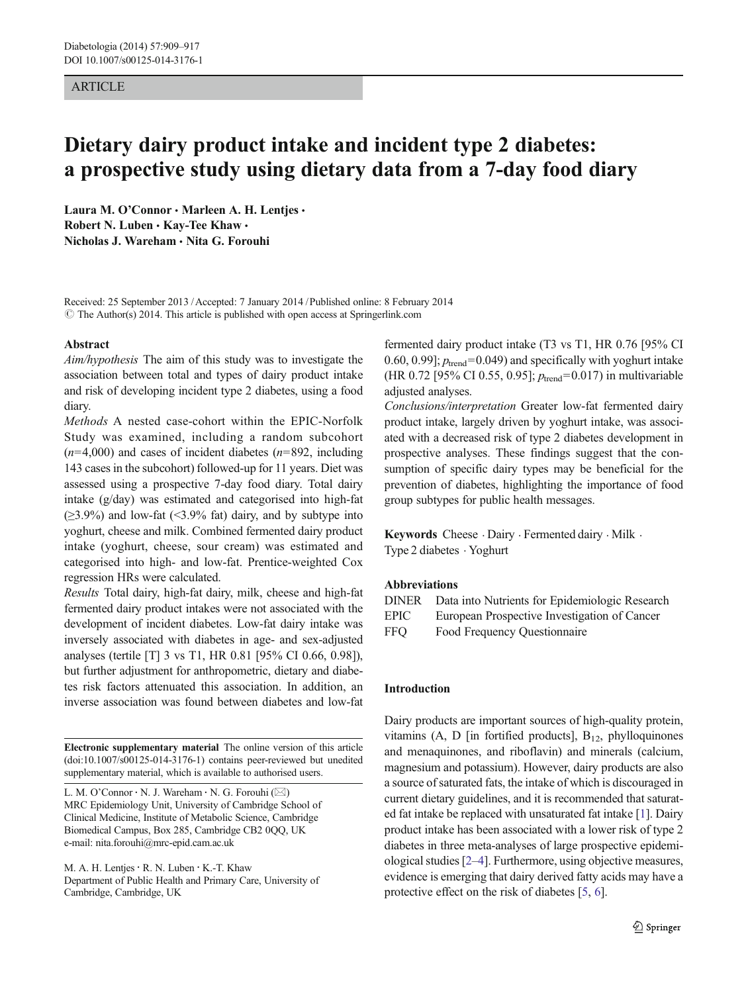## ARTICLE

# Dietary dairy product intake and incident type 2 diabetes: a prospective study using dietary data from a 7-day food diary

Laura M. O'Connor · Marleen A. H. Lentjes · Robert N. Luben · Kay-Tee Khaw · Nicholas J. Wareham · Nita G. Forouhi

Received: 25 September 2013 /Accepted: 7 January 2014 /Published online: 8 February 2014  $\circ$  The Author(s) 2014. This article is published with open access at Springerlink.com

### Abstract

Aim/hypothesis The aim of this study was to investigate the association between total and types of dairy product intake and risk of developing incident type 2 diabetes, using a food diary.

Methods A nested case-cohort within the EPIC-Norfolk Study was examined, including a random subcohort  $(n=4,000)$  and cases of incident diabetes  $(n=892, \text{ including})$ 143 cases in the subcohort) followed-up for 11 years. Diet was assessed using a prospective 7-day food diary. Total dairy intake (g/day) was estimated and categorised into high-fat  $(\geq 3.9\%)$  and low-fat (<3.9% fat) dairy, and by subtype into yoghurt, cheese and milk. Combined fermented dairy product intake (yoghurt, cheese, sour cream) was estimated and categorised into high- and low-fat. Prentice-weighted Cox regression HRs were calculated.

Results Total dairy, high-fat dairy, milk, cheese and high-fat fermented dairy product intakes were not associated with the development of incident diabetes. Low-fat dairy intake was inversely associated with diabetes in age- and sex-adjusted analyses (tertile [T] 3 vs T1, HR 0.81 [95% CI 0.66, 0.98]), but further adjustment for anthropometric, dietary and diabetes risk factors attenuated this association. In addition, an inverse association was found between diabetes and low-fat

Electronic supplementary material The online version of this article (doi[:10.1007/s00125-014-3176-1](http://dx.doi.org/10.1007/s00125-014-3176-1)) contains peer-reviewed but unedited supplementary material, which is available to authorised users.

L. M. O'Connor · N. J. Wareham · N. G. Forouhi ( $\boxtimes$ ) MRC Epidemiology Unit, University of Cambridge School of Clinical Medicine, Institute of Metabolic Science, Cambridge Biomedical Campus, Box 285, Cambridge CB2 0QQ, UK e-mail: nita.forouhi@mrc-epid.cam.ac.uk

M. A. H. Lentjes · R. N. Luben · K.-T. Khaw Department of Public Health and Primary Care, University of Cambridge, Cambridge, UK

fermented dairy product intake (T3 vs T1, HR 0.76 [95% CI 0.60, 0.99];  $p_{\text{trend}}$ =0.049) and specifically with yoghurt intake (HR 0.72 [95% CI 0.55, 0.95];  $p_{\text{trend}} = 0.017$ ) in multivariable adjusted analyses.

Conclusions/interpretation Greater low-fat fermented dairy product intake, largely driven by yoghurt intake, was associated with a decreased risk of type 2 diabetes development in prospective analyses. These findings suggest that the consumption of specific dairy types may be beneficial for the prevention of diabetes, highlighting the importance of food group subtypes for public health messages.

Keywords Cheese . Dairy . Fermented dairy . Milk . Type 2 diabetes . Yoghurt

### Abbreviations

| <b>DINER</b> | Data into Nutrients for Epidemiologic Research |
|--------------|------------------------------------------------|
| <b>EPIC</b>  | European Prospective Investigation of Cancer   |
| FFO.         | Food Frequency Ouestionnaire                   |

## Introduction

Dairy products are important sources of high-quality protein, vitamins (A, D [in fortified products],  $B_{12}$ , phylloquinones and menaquinones, and riboflavin) and minerals (calcium, magnesium and potassium). However, dairy products are also a source of saturated fats, the intake of which is discouraged in current dietary guidelines, and it is recommended that saturated fat intake be replaced with unsaturated fat intake [\[1](#page-7-0)]. Dairy product intake has been associated with a lower risk of type 2 diabetes in three meta-analyses of large prospective epidemiological studies [\[2](#page-8-0)–[4\]](#page-8-0). Furthermore, using objective measures, evidence is emerging that dairy derived fatty acids may have a protective effect on the risk of diabetes [[5](#page-8-0), [6](#page-8-0)].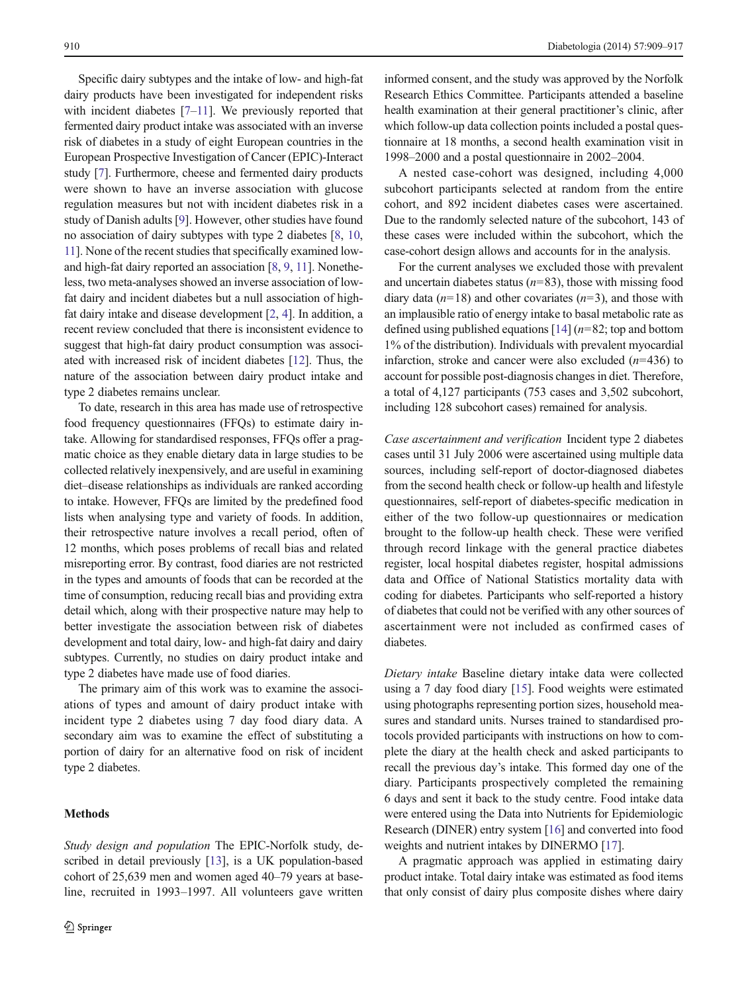Specific dairy subtypes and the intake of low- and high-fat dairy products have been investigated for independent risks with incident diabetes [[7](#page-8-0)–[11](#page-8-0)]. We previously reported that fermented dairy product intake was associated with an inverse risk of diabetes in a study of eight European countries in the European Prospective Investigation of Cancer (EPIC)-Interact study [\[7](#page-8-0)]. Furthermore, cheese and fermented dairy products were shown to have an inverse association with glucose regulation measures but not with incident diabetes risk in a study of Danish adults [\[9](#page-8-0)]. However, other studies have found no association of dairy subtypes with type 2 diabetes [\[8](#page-8-0), [10,](#page-8-0) [11](#page-8-0)]. None of the recent studies that specifically examined lowand high-fat dairy reported an association [\[8](#page-8-0), [9,](#page-8-0) [11](#page-8-0)]. Nonetheless, two meta-analyses showed an inverse association of lowfat dairy and incident diabetes but a null association of highfat dairy intake and disease development [[2,](#page-8-0) [4](#page-8-0)]. In addition, a recent review concluded that there is inconsistent evidence to suggest that high-fat dairy product consumption was associated with increased risk of incident diabetes [\[12\]](#page-8-0). Thus, the nature of the association between dairy product intake and type 2 diabetes remains unclear.

To date, research in this area has made use of retrospective food frequency questionnaires (FFQs) to estimate dairy intake. Allowing for standardised responses, FFQs offer a pragmatic choice as they enable dietary data in large studies to be collected relatively inexpensively, and are useful in examining diet–disease relationships as individuals are ranked according to intake. However, FFQs are limited by the predefined food lists when analysing type and variety of foods. In addition, their retrospective nature involves a recall period, often of 12 months, which poses problems of recall bias and related misreporting error. By contrast, food diaries are not restricted in the types and amounts of foods that can be recorded at the time of consumption, reducing recall bias and providing extra detail which, along with their prospective nature may help to better investigate the association between risk of diabetes development and total dairy, low- and high-fat dairy and dairy subtypes. Currently, no studies on dairy product intake and type 2 diabetes have made use of food diaries.

The primary aim of this work was to examine the associations of types and amount of dairy product intake with incident type 2 diabetes using 7 day food diary data. A secondary aim was to examine the effect of substituting a portion of dairy for an alternative food on risk of incident type 2 diabetes.

# **Methods**

Study design and population The EPIC-Norfolk study, described in detail previously [[13\]](#page-8-0), is a UK population-based cohort of 25,639 men and women aged 40–79 years at baseline, recruited in 1993–1997. All volunteers gave written informed consent, and the study was approved by the Norfolk Research Ethics Committee. Participants attended a baseline health examination at their general practitioner's clinic, after which follow-up data collection points included a postal questionnaire at 18 months, a second health examination visit in 1998–2000 and a postal questionnaire in 2002–2004.

A nested case-cohort was designed, including 4,000 subcohort participants selected at random from the entire cohort, and 892 incident diabetes cases were ascertained. Due to the randomly selected nature of the subcohort, 143 of these cases were included within the subcohort, which the case-cohort design allows and accounts for in the analysis.

For the current analyses we excluded those with prevalent and uncertain diabetes status ( $n=83$ ), those with missing food diary data ( $n=18$ ) and other covariates ( $n=3$ ), and those with an implausible ratio of energy intake to basal metabolic rate as defined using published equations  $[14]$  ( $n=82$ ; top and bottom 1% of the distribution). Individuals with prevalent myocardial infarction, stroke and cancer were also excluded  $(n=436)$  to account for possible post-diagnosis changes in diet. Therefore, a total of 4,127 participants (753 cases and 3,502 subcohort, including 128 subcohort cases) remained for analysis.

Case ascertainment and verification Incident type 2 diabetes cases until 31 July 2006 were ascertained using multiple data sources, including self-report of doctor-diagnosed diabetes from the second health check or follow-up health and lifestyle questionnaires, self-report of diabetes-specific medication in either of the two follow-up questionnaires or medication brought to the follow-up health check. These were verified through record linkage with the general practice diabetes register, local hospital diabetes register, hospital admissions data and Office of National Statistics mortality data with coding for diabetes. Participants who self-reported a history of diabetes that could not be verified with any other sources of ascertainment were not included as confirmed cases of diabetes.

Dietary intake Baseline dietary intake data were collected using a 7 day food diary [\[15](#page-8-0)]. Food weights were estimated using photographs representing portion sizes, household measures and standard units. Nurses trained to standardised protocols provided participants with instructions on how to complete the diary at the health check and asked participants to recall the previous day's intake. This formed day one of the diary. Participants prospectively completed the remaining 6 days and sent it back to the study centre. Food intake data were entered using the Data into Nutrients for Epidemiologic Research (DINER) entry system [[16\]](#page-8-0) and converted into food weights and nutrient intakes by DINERMO [\[17\]](#page-8-0).

A pragmatic approach was applied in estimating dairy product intake. Total dairy intake was estimated as food items that only consist of dairy plus composite dishes where dairy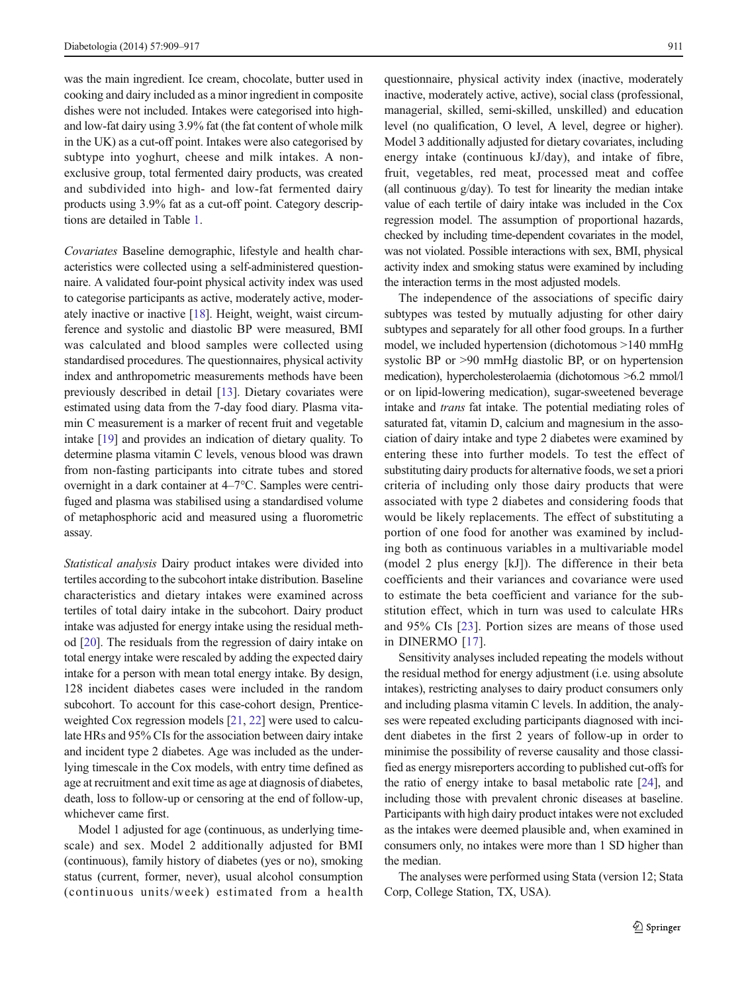was the main ingredient. Ice cream, chocolate, butter used in cooking and dairy included as a minor ingredient in composite dishes were not included. Intakes were categorised into highand low-fat dairy using 3.9% fat (the fat content of whole milk in the UK) as a cut-off point. Intakes were also categorised by subtype into yoghurt, cheese and milk intakes. A nonexclusive group, total fermented dairy products, was created and subdivided into high- and low-fat fermented dairy products using 3.9% fat as a cut-off point. Category descriptions are detailed in Table [1.](#page-3-0)

Covariates Baseline demographic, lifestyle and health characteristics were collected using a self-administered questionnaire. A validated four-point physical activity index was used to categorise participants as active, moderately active, moderately inactive or inactive [[18\]](#page-8-0). Height, weight, waist circumference and systolic and diastolic BP were measured, BMI was calculated and blood samples were collected using standardised procedures. The questionnaires, physical activity index and anthropometric measurements methods have been previously described in detail [[13\]](#page-8-0). Dietary covariates were estimated using data from the 7-day food diary. Plasma vitamin C measurement is a marker of recent fruit and vegetable intake [\[19\]](#page-8-0) and provides an indication of dietary quality. To determine plasma vitamin C levels, venous blood was drawn from non-fasting participants into citrate tubes and stored overnight in a dark container at 4–7°C. Samples were centrifuged and plasma was stabilised using a standardised volume of metaphosphoric acid and measured using a fluorometric assay.

Statistical analysis Dairy product intakes were divided into tertiles according to the subcohort intake distribution. Baseline characteristics and dietary intakes were examined across tertiles of total dairy intake in the subcohort. Dairy product intake was adjusted for energy intake using the residual method [[20\]](#page-8-0). The residuals from the regression of dairy intake on total energy intake were rescaled by adding the expected dairy intake for a person with mean total energy intake. By design, 128 incident diabetes cases were included in the random subcohort. To account for this case-cohort design, Prenticeweighted Cox regression models [[21,](#page-8-0) [22](#page-8-0)] were used to calculate HRs and 95% CIs for the association between dairy intake and incident type 2 diabetes. Age was included as the underlying timescale in the Cox models, with entry time defined as age at recruitment and exit time as age at diagnosis of diabetes, death, loss to follow-up or censoring at the end of follow-up, whichever came first.

Model 1 adjusted for age (continuous, as underlying timescale) and sex. Model 2 additionally adjusted for BMI (continuous), family history of diabetes (yes or no), smoking status (current, former, never), usual alcohol consumption (continuous units/week) estimated from a health questionnaire, physical activity index (inactive, moderately inactive, moderately active, active), social class (professional, managerial, skilled, semi-skilled, unskilled) and education level (no qualification, O level, A level, degree or higher). Model 3 additionally adjusted for dietary covariates, including energy intake (continuous kJ/day), and intake of fibre, fruit, vegetables, red meat, processed meat and coffee (all continuous  $g/day$ ). To test for linearity the median intake value of each tertile of dairy intake was included in the Cox regression model. The assumption of proportional hazards, checked by including time-dependent covariates in the model, was not violated. Possible interactions with sex, BMI, physical activity index and smoking status were examined by including the interaction terms in the most adjusted models.

The independence of the associations of specific dairy subtypes was tested by mutually adjusting for other dairy subtypes and separately for all other food groups. In a further model, we included hypertension (dichotomous >140 mmHg systolic BP or >90 mmHg diastolic BP, or on hypertension medication), hypercholesterolaemia (dichotomous >6.2 mmol/l or on lipid-lowering medication), sugar-sweetened beverage intake and trans fat intake. The potential mediating roles of saturated fat, vitamin D, calcium and magnesium in the association of dairy intake and type 2 diabetes were examined by entering these into further models. To test the effect of substituting dairy products for alternative foods, we set a priori criteria of including only those dairy products that were associated with type 2 diabetes and considering foods that would be likely replacements. The effect of substituting a portion of one food for another was examined by including both as continuous variables in a multivariable model (model 2 plus energy [kJ]). The difference in their beta coefficients and their variances and covariance were used to estimate the beta coefficient and variance for the substitution effect, which in turn was used to calculate HRs and 95% CIs [\[23\]](#page-8-0). Portion sizes are means of those used in DINERMO [\[17](#page-8-0)].

Sensitivity analyses included repeating the models without the residual method for energy adjustment (i.e. using absolute intakes), restricting analyses to dairy product consumers only and including plasma vitamin C levels. In addition, the analyses were repeated excluding participants diagnosed with incident diabetes in the first 2 years of follow-up in order to minimise the possibility of reverse causality and those classified as energy misreporters according to published cut-offs for the ratio of energy intake to basal metabolic rate [\[24\]](#page-8-0), and including those with prevalent chronic diseases at baseline. Participants with high dairy product intakes were not excluded as the intakes were deemed plausible and, when examined in consumers only, no intakes were more than 1 SD higher than the median.

The analyses were performed using Stata (version 12; Stata Corp, College Station, TX, USA).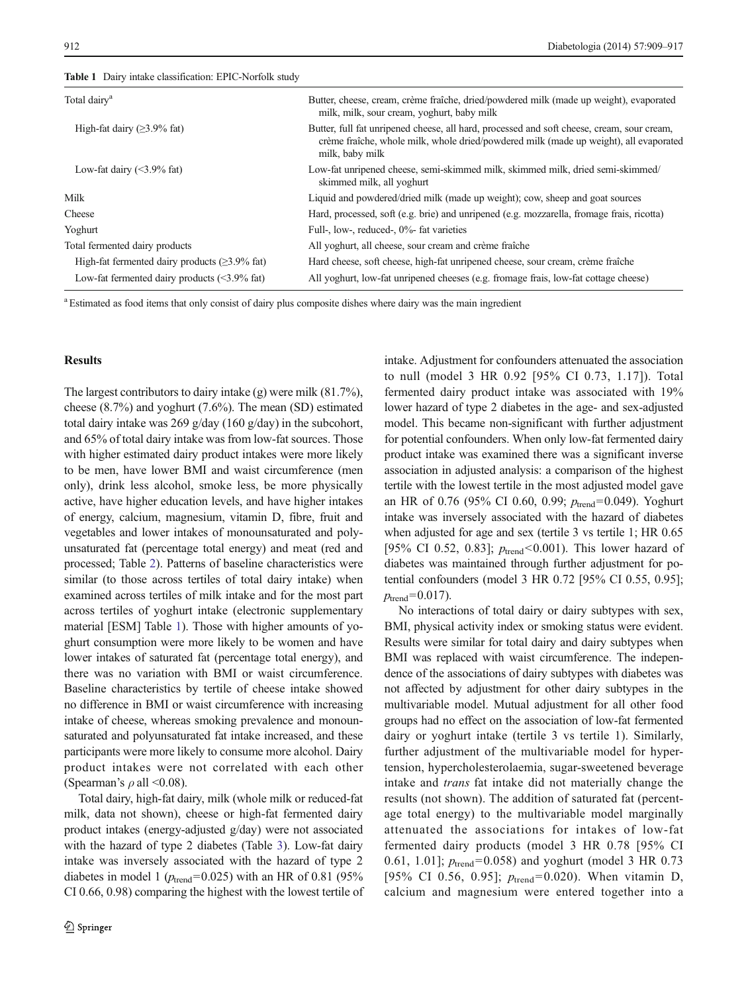<span id="page-3-0"></span>

|  |  |  |  | Table 1 Dairy intake classification: EPIC-Norfolk study |  |
|--|--|--|--|---------------------------------------------------------|--|
|--|--|--|--|---------------------------------------------------------|--|

| Total dairy <sup>a</sup>                                     | Butter, cheese, cream, crème fraîche, dried/powdered milk (made up weight), evaporated<br>milk, milk, sour cream, yoghurt, baby milk                                                                   |  |  |
|--------------------------------------------------------------|--------------------------------------------------------------------------------------------------------------------------------------------------------------------------------------------------------|--|--|
| High-fat dairy $(≥3.9%$ fat)                                 | Butter, full fat unripened cheese, all hard, processed and soft cheese, cream, sour cream,<br>crème fraîche, whole milk, whole dried/powdered milk (made up weight), all evaporated<br>milk, baby milk |  |  |
| Low-fat dairy $(\leq 3.9\%$ fat)                             | Low-fat unripened cheese, semi-skimmed milk, skimmed milk, dried semi-skimmed/<br>skimmed milk, all yoghurt                                                                                            |  |  |
| Milk                                                         | Liquid and powdered/dried milk (made up weight); cow, sheep and goat sources                                                                                                                           |  |  |
| Cheese                                                       | Hard, processed, soft (e.g. brie) and unripened (e.g. mozzarella, fromage frais, ricotta)                                                                                                              |  |  |
| Yoghurt                                                      | Full-, low-, reduced-, 0%- fat varieties                                                                                                                                                               |  |  |
| Total fermented dairy products                               | All yoghurt, all cheese, sour cream and crème fraîche                                                                                                                                                  |  |  |
| High-fat fermented dairy products $(\geq 3.9\% \text{ fat})$ | Hard cheese, soft cheese, high-fat unripened cheese, sour cream, crème fraîche                                                                                                                         |  |  |
| Low-fat fermented dairy products $(\leq 3.9\% \text{ fat})$  | All yoghurt, low-fat unripened cheeses (e.g. fromage frais, low-fat cottage cheese)                                                                                                                    |  |  |

<sup>a</sup> Estimated as food items that only consist of dairy plus composite dishes where dairy was the main ingredient

# **Results**

The largest contributors to dairy intake (g) were milk (81.7%), cheese (8.7%) and yoghurt (7.6%). The mean (SD) estimated total dairy intake was 269 g/day (160 g/day) in the subcohort, and 65% of total dairy intake was from low-fat sources. Those with higher estimated dairy product intakes were more likely to be men, have lower BMI and waist circumference (men only), drink less alcohol, smoke less, be more physically active, have higher education levels, and have higher intakes of energy, calcium, magnesium, vitamin D, fibre, fruit and vegetables and lower intakes of monounsaturated and polyunsaturated fat (percentage total energy) and meat (red and processed; Table [2](#page-4-0)). Patterns of baseline characteristics were similar (to those across tertiles of total dairy intake) when examined across tertiles of milk intake and for the most part across tertiles of yoghurt intake (electronic supplementary material [ESM] Table 1). Those with higher amounts of yoghurt consumption were more likely to be women and have lower intakes of saturated fat (percentage total energy), and there was no variation with BMI or waist circumference. Baseline characteristics by tertile of cheese intake showed no difference in BMI or waist circumference with increasing intake of cheese, whereas smoking prevalence and monounsaturated and polyunsaturated fat intake increased, and these participants were more likely to consume more alcohol. Dairy product intakes were not correlated with each other (Spearman's  $\rho$  all <0.08).

Total dairy, high-fat dairy, milk (whole milk or reduced-fat milk, data not shown), cheese or high-fat fermented dairy product intakes (energy-adjusted g/day) were not associated with the hazard of type 2 diabetes (Table [3](#page-5-0)). Low-fat dairy intake was inversely associated with the hazard of type 2 diabetes in model 1 ( $p_{\text{trend}}$ =0.025) with an HR of 0.81 (95% CI 0.66, 0.98) comparing the highest with the lowest tertile of intake. Adjustment for confounders attenuated the association to null (model 3 HR 0.92 [95% CI 0.73, 1.17]). Total fermented dairy product intake was associated with 19% lower hazard of type 2 diabetes in the age- and sex-adjusted model. This became non-significant with further adjustment for potential confounders. When only low-fat fermented dairy product intake was examined there was a significant inverse association in adjusted analysis: a comparison of the highest tertile with the lowest tertile in the most adjusted model gave an HR of 0.76 (95% CI 0.60, 0.99;  $p_{\text{trend}} = 0.049$ ). Yoghurt intake was inversely associated with the hazard of diabetes when adjusted for age and sex (tertile 3 vs tertile 1; HR 0.65) [95% CI 0.52, 0.83];  $p_{\text{trend}}$ <0.001). This lower hazard of diabetes was maintained through further adjustment for potential confounders (model 3 HR 0.72 [95% CI 0.55, 0.95];  $p_{\text{trend}} = 0.017$ ).

No interactions of total dairy or dairy subtypes with sex, BMI, physical activity index or smoking status were evident. Results were similar for total dairy and dairy subtypes when BMI was replaced with waist circumference. The independence of the associations of dairy subtypes with diabetes was not affected by adjustment for other dairy subtypes in the multivariable model. Mutual adjustment for all other food groups had no effect on the association of low-fat fermented dairy or yoghurt intake (tertile 3 vs tertile 1). Similarly, further adjustment of the multivariable model for hypertension, hypercholesterolaemia, sugar-sweetened beverage intake and trans fat intake did not materially change the results (not shown). The addition of saturated fat (percentage total energy) to the multivariable model marginally attenuated the associations for intakes of low-fat fermented dairy products (model 3 HR 0.78 [95% CI 0.61, 1.01];  $p_{\text{trend}} = 0.058$ ) and yoghurt (model 3 HR 0.73 [95% CI 0.56, 0.95];  $p_{\text{trend}} = 0.020$ ). When vitamin D, calcium and magnesium were entered together into a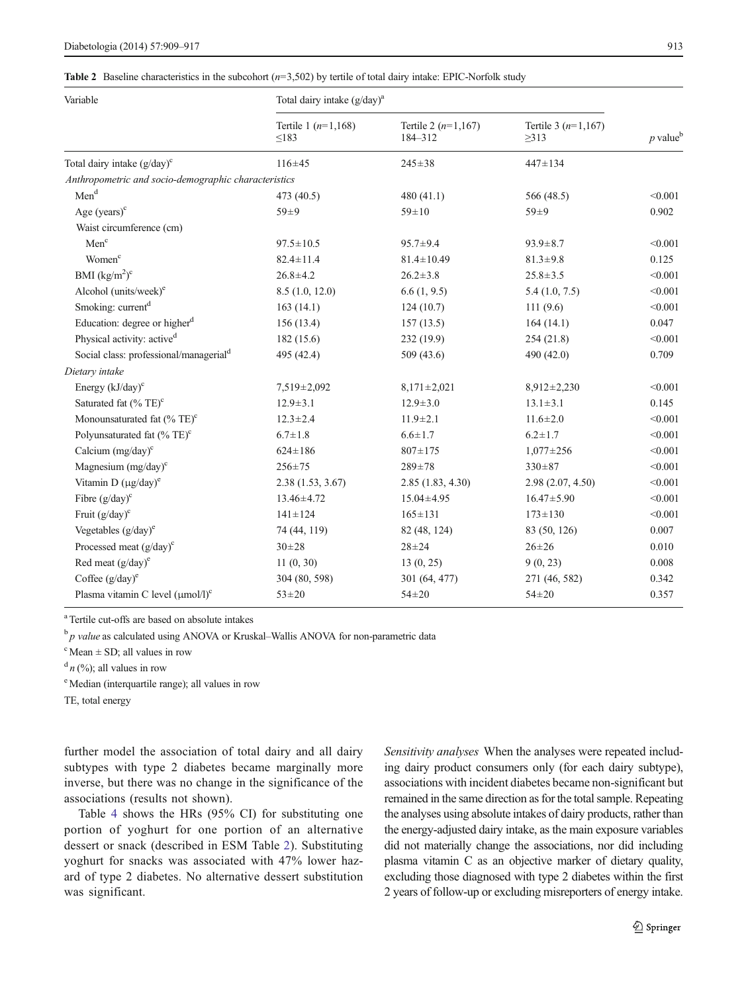#### <span id="page-4-0"></span>**Table 2** Baseline characteristics in the subcohort  $(n=3,502)$  by tertile of total dairy intake: EPIC-Norfolk study

| Variable                                             | Total dairy intake $(g/day)^a$      |                                  |                                     |                        |
|------------------------------------------------------|-------------------------------------|----------------------------------|-------------------------------------|------------------------|
|                                                      | Tertile 1 $(n=1,168)$<br>$\leq$ 183 | Tertile 2 $(n=1,167)$<br>184-312 | Tertile 3 $(n=1,167)$<br>$\geq 313$ | $p$ value <sup>b</sup> |
| Total dairy intake $(g/day)^c$                       | $116 \pm 45$                        | $245 \pm 38$                     | $447 \pm 134$                       |                        |
| Anthropometric and socio-demographic characteristics |                                     |                                  |                                     |                        |
| Men <sup>d</sup>                                     | 473 (40.5)                          | 480 $(41.1)$                     | 566 (48.5)                          | < 0.001                |
| Age $(years)^c$                                      | $59 + 9$                            | $59 + 10$                        | $59 + 9$                            | 0.902                  |
| Waist circumference (cm)                             |                                     |                                  |                                     |                        |
| Men <sup>c</sup>                                     | $97.5 \pm 10.5$                     | $95.7 \pm 9.4$                   | $93.9 \pm 8.7$                      | < 0.001                |
| Women <sup>c</sup>                                   | $82.4 \pm 11.4$                     | $81.4 \pm 10.49$                 | $81.3 \pm 9.8$                      | 0.125                  |
| BMI $(kg/m2)c$                                       | $26.8 \pm 4.2$                      | $26.2 \pm 3.8$                   | $25.8 \pm 3.5$                      | < 0.001                |
| Alcohol (units/week) <sup>e</sup>                    | 8.5(1.0, 12.0)                      | 6.6(1, 9.5)                      | 5.4(1.0, 7.5)                       | < 0.001                |
| Smoking: current <sup>d</sup>                        | 163(14.1)                           | 124(10.7)                        | 111(9.6)                            | < 0.001                |
| Education: degree or higher <sup>d</sup>             | 156 (13.4)                          | 157(13.5)                        | 164(14.1)                           | 0.047                  |
| Physical activity: active <sup>d</sup>               | 182(15.6)                           | 232 (19.9)                       | 254(21.8)                           | < 0.001                |
| Social class: professional/managerial <sup>d</sup>   | 495 (42.4)                          | 509 (43.6)                       | 490 (42.0)                          | 0.709                  |
| Dietary intake                                       |                                     |                                  |                                     |                        |
| Energy $(kJ/day)^c$                                  | 7,519±2,092                         | $8,171 \pm 2,021$                | $8,912 \pm 2,230$                   | < 0.001                |
| Saturated fat $(\%$ TE) <sup>c</sup>                 | $12.9 \pm 3.1$                      | $12.9 \pm 3.0$                   | $13.1 \pm 3.1$                      | 0.145                  |
| Monounsaturated fat (% TE) <sup>c</sup>              | $12.3 \pm 2.4$                      | $11.9 \pm 2.1$                   | $11.6 \pm 2.0$                      | < 0.001                |
| Polyunsaturated fat $(\%$ TE) <sup>c</sup>           | $6.7 \pm 1.8$                       | $6.6 \pm 1.7$                    | $6.2 \pm 1.7$                       | < 0.001                |
| Calcium $(mg/day)^c$                                 | $624 \pm 186$                       | $807 \pm 175$                    | $1,077 \pm 256$                     | < 0.001                |
| Magnesium $(mg/day)^c$                               | $256 \pm 75$                        | $289 + 78$                       | $330 \pm 87$                        | < 0.001                |
| Vitamin D $(\mu g/day)^e$                            | 2.38(1.53, 3.67)                    | 2.85(1.83, 4.30)                 | 2.98 (2.07, 4.50)                   | < 0.001                |
| Fibre $(g/day)^c$                                    | $13.46 \pm 4.72$                    | $15.04 \pm 4.95$                 | $16.47 \pm 5.90$                    | < 0.001                |
| Fruit $(g/day)^c$                                    | $141 \pm 124$                       | $165 \pm 131$                    | $173 \pm 130$                       | < 0.001                |
| Vegetables $(g/day)^e$                               | 74 (44, 119)                        | 82 (48, 124)                     | 83 (50, 126)                        | 0.007                  |
| Processed meat $(g/day)^c$                           | $30 + 28$                           | $28 + 24$                        | $26 \pm 26$                         | 0.010                  |
| Red meat $(g/day)^e$                                 | 11(0, 30)                           | 13(0, 25)                        | 9(0, 23)                            | 0.008                  |
| Coffee $(g/day)^e$                                   | 304 (80, 598)                       | 301 (64, 477)                    | 271 (46, 582)                       | 0.342                  |
| Plasma vitamin C level $(\mu \text{mol/l})^c$        | $53 + 20$                           | $54 + 20$                        | $54 + 20$                           | 0.357                  |

a Tertile cut-offs are based on absolute intakes

 $b$  p value as calculated using ANOVA or Kruskal–Wallis ANOVA for non-parametric data

 $c^{\text{c}}$  Mean  $\pm$  SD; all values in row

 $d_n$  (%); all values in row

e Median (interquartile range); all values in row

TE, total energy

further model the association of total dairy and all dairy subtypes with type 2 diabetes became marginally more inverse, but there was no change in the significance of the associations (results not shown).

Table [4](#page-6-0) shows the HRs (95% CI) for substituting one portion of yoghurt for one portion of an alternative dessert or snack (described in ESM Table 2). Substituting yoghurt for snacks was associated with 47% lower hazard of type 2 diabetes. No alternative dessert substitution was significant.

Sensitivity analyses When the analyses were repeated including dairy product consumers only (for each dairy subtype), associations with incident diabetes became non-significant but remained in the same direction as for the total sample. Repeating the analyses using absolute intakes of dairy products, rather than the energy-adjusted dairy intake, as the main exposure variables did not materially change the associations, nor did including plasma vitamin C as an objective marker of dietary quality, excluding those diagnosed with type 2 diabetes within the first 2 years of follow-up or excluding misreporters of energy intake.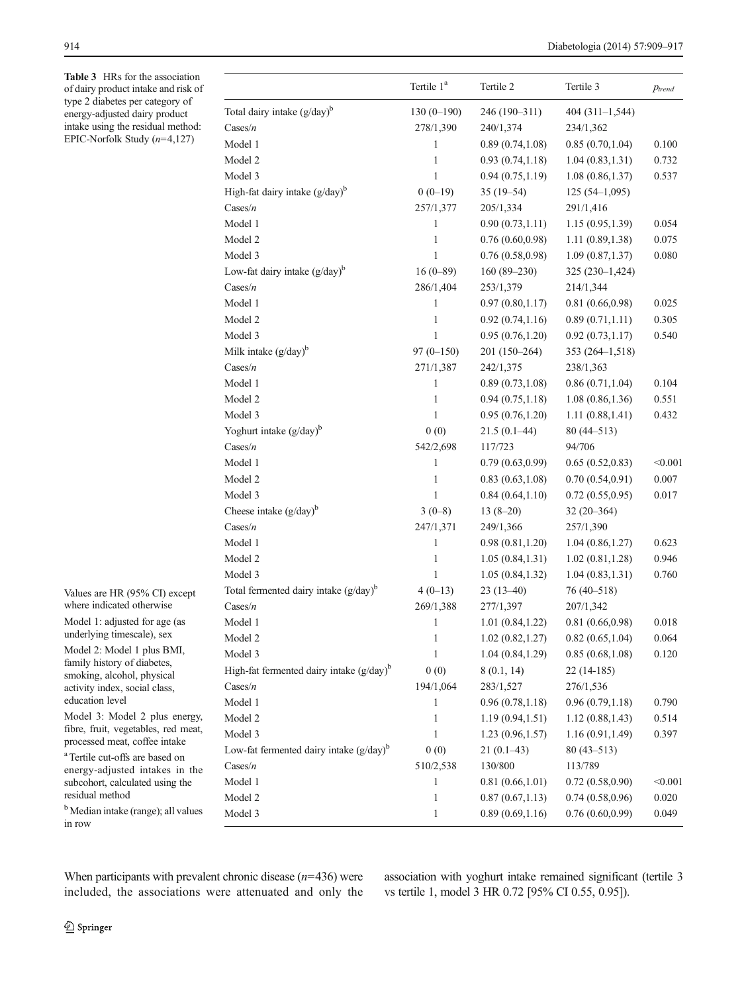<span id="page-5-0"></span>

| Table 3 HRs for the association<br>of dairy product intake and risk of       |                                             | Tertile 1 <sup>a</sup> | Tertile 2        | Tertile 3        | $p_{trend}$ |
|------------------------------------------------------------------------------|---------------------------------------------|------------------------|------------------|------------------|-------------|
| type 2 diabetes per category of<br>energy-adjusted dairy product             | Total dairy intake $(g/day)^b$              | $130(0-190)$           | 246 (190-311)    | 404 (311-1,544)  |             |
| intake using the residual method:<br>EPIC-Norfolk Study $(n=4,127)$          | $\text{Cases}/n$                            | 278/1,390              | 240/1,374        | 234/1,362        |             |
|                                                                              | Model 1                                     | 1                      | 0.89(0.74, 1.08) | 0.85(0.70, 1.04) | 0.100       |
|                                                                              | Model 2                                     | $\mathbf{1}$           | 0.93(0.74, 1.18) | 1.04(0.83, 1.31) | 0.732       |
|                                                                              | Model 3                                     | $\mathbf{1}$           | 0.94(0.75, 1.19) | 1.08(0.86, 1.37) | 0.537       |
|                                                                              | High-fat dairy intake $(g/day)^b$           | $0(0-19)$              | $35(19-54)$      | $125(54-1,095)$  |             |
|                                                                              | $\text{Cases}/n$                            | 257/1,377              | 205/1,334        | 291/1,416        |             |
|                                                                              | Model 1                                     | $\mathbf{1}$           | 0.90(0.73, 1.11) | 1.15(0.95, 1.39) | 0.054       |
|                                                                              | Model 2                                     | $\mathbf{1}$           | 0.76(0.60, 0.98) | 1.11(0.89, 1.38) | 0.075       |
|                                                                              | Model 3                                     | $\mathbf{1}$           | 0.76(0.58, 0.98) | 1.09(0.87, 1.37) | 0.080       |
|                                                                              | Low-fat dairy intake $(g/day)^b$            | $16(0-89)$             | $160(89 - 230)$  | $325(230-1,424)$ |             |
|                                                                              | $\text{Cases}/n$                            | 286/1,404              | 253/1,379        | 214/1,344        |             |
|                                                                              | Model 1                                     | $\mathbf{1}$           | 0.97(0.80, 1.17) | 0.81(0.66, 0.98) | 0.025       |
|                                                                              | Model 2                                     | $\mathbf{1}$           | 0.92(0.74, 1.16) | 0.89(0.71, 1.11) | 0.305       |
|                                                                              | Model 3                                     | $\mathbf{1}$           | 0.95(0.76, 1.20) | 0.92(0.73, 1.17) | 0.540       |
|                                                                              | Milk intake $(g/day)^b$                     | $97(0-150)$            | 201 (150-264)    | $353(264-1,518)$ |             |
|                                                                              | $\text{Cases}/n$                            | 271/1,387              | 242/1,375        | 238/1,363        |             |
|                                                                              | Model 1                                     | $\mathbf{1}$           | 0.89(0.73, 1.08) | 0.86(0.71, 1.04) | 0.104       |
|                                                                              | Model 2                                     | $\mathbf{1}$           | 0.94(0.75, 1.18) | 1.08(0.86, 1.36) | 0.551       |
|                                                                              | Model 3                                     | $\mathbf{1}$           | 0.95(0.76, 1.20) | 1.11(0.88, 1.41) | 0.432       |
|                                                                              | Yoghurt intake $(g/day)^b$                  | 0(0)                   | $21.5(0.1-44)$   | $80(44 - 513)$   |             |
|                                                                              | $\text{Cases}/n$                            | 542/2,698              | 117/723          | 94/706           |             |
|                                                                              | Model 1                                     | $\mathbf{1}$           | 0.79(0.63, 0.99) | 0.65(0.52, 0.83) | < 0.001     |
|                                                                              | Model 2                                     | 1                      | 0.83(0.63, 1.08) | 0.70(0.54, 0.91) | 0.007       |
|                                                                              | Model 3                                     | $\mathbf{1}$           | 0.84(0.64, 1.10) | 0.72(0.55, 0.95) | 0.017       |
|                                                                              | Cheese intake $(g/day)^b$                   | $3(0-8)$               | $13(8-20)$       | $32(20-364)$     |             |
|                                                                              | $\text{Cases}/n$                            | 247/1,371              | 249/1,366        | 257/1,390        |             |
|                                                                              | Model 1                                     | $\mathbf{1}$           | 0.98(0.81, 1.20) | 1.04(0.86, 1.27) | 0.623       |
|                                                                              | Model 2                                     | $\mathbf{1}$           | 1.05(0.84, 1.31) | 1.02(0.81, 1.28) | 0.946       |
|                                                                              | Model 3                                     | $\mathbf{1}$           | 1.05(0.84, 1.32) | 1.04(0.83, 1.31) | 0.760       |
| Values are HR (95% CI) except                                                | Total fermented dairy intake $(g/day)^b$    | $4(0-13)$              | $23(13-40)$      | 76 (40 – 518)    |             |
| where indicated otherwise                                                    | $\text{Cases}/n$                            | 269/1,388              | 277/1,397        | 207/1,342        |             |
| Model 1: adjusted for age (as                                                | Model 1                                     | $\mathbf{1}$           | 1.01(0.84, 1.22) | 0.81(0.66, 0.98) | 0.018       |
| underlying timescale), sex                                                   | Model 2                                     | $\mathbf{1}$           | 1.02(0.82, 1.27) | 0.82(0.65, 1.04) | 0.064       |
| Model 2: Model 1 plus BMI,                                                   | Model 3                                     | $\mathbf{1}$           | 1.04(0.84, 1.29) | 0.85(0.68, 1.08) | 0.120       |
| family history of diabetes,<br>smoking, alcohol, physical                    | High-fat fermented dairy intake $(g/day)^b$ | 0(0)                   | 8(0.1, 14)       | $22(14-185)$     |             |
| activity index, social class,                                                | $\text{Cases}/n$                            | 194/1,064              | 283/1,527        | 276/1,536        |             |
| education level                                                              | Model 1                                     | 1                      | 0.96(0.78, 1.18) | 0.96(0.79,1.18)  | 0.790       |
| Model 3: Model 2 plus energy,                                                | Model 2                                     | $\mathbf{1}$           | 1.19(0.94, 1.51) | 1.12(0.88, 1.43) | 0.514       |
| fibre, fruit, vegetables, red meat,                                          | Model 3                                     | $\mathbf{1}$           | 1.23(0.96, 1.57) | 1.16(0.91, 1.49) | 0.397       |
| processed meat, coffee intake                                                | Low-fat fermented dairy intake $(g/day)^b$  | 0(0)                   | $21(0.1-43)$     | $80(43 - 513)$   |             |
| <sup>a</sup> Tertile cut-offs are based on<br>energy-adjusted intakes in the | $\text{Cases}/n$                            | 510/2,538              | 130/800          | 113/789          |             |
| subcohort, calculated using the                                              | Model 1                                     | $\mathbf{1}$           | 0.81(0.66, 1.01) | 0.72(0.58, 0.90) | < 0.001     |
| residual method                                                              | Model 2                                     | $\mathbf{1}$           | 0.87(0.67, 1.13) | 0.74(0.58, 0.96) | 0.020       |
| <sup>b</sup> Median intake (range); all values                               | Model 3                                     | $\mathbf{1}$           | 0.89(0.69, 1.16) | 0.76(0.60, 0.99) | 0.049       |

When participants with prevalent chronic disease  $(n=436)$  were included, the associations were attenuated and only the

Springer

in row

association with yoghurt intake remained significant (tertile 3 vs tertile 1, model 3 HR 0.72 [95% CI 0.55, 0.95]).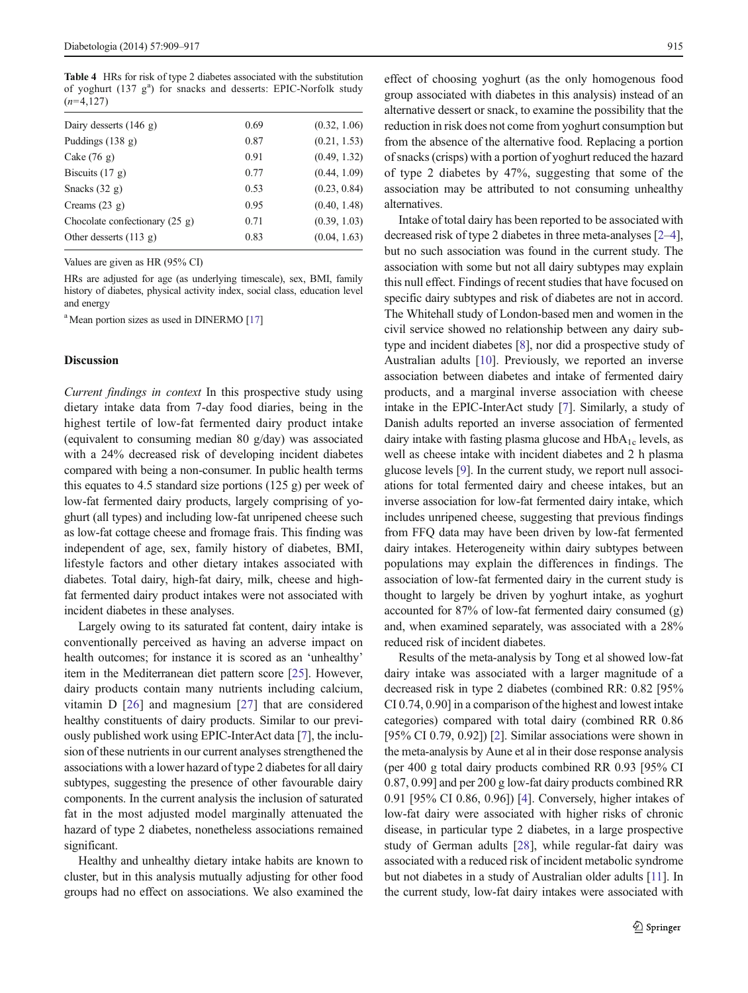<span id="page-6-0"></span>Table 4 HRs for risk of type 2 diabetes associated with the substitution of yoghurt (137 g<sup>a</sup>) for snacks and desserts: EPIC-Norfolk study  $(n=4,127)$ 

| Dairy desserts $(146 \text{ g})$         | 0.69 | (0.32, 1.06) |
|------------------------------------------|------|--------------|
| Puddings (138 g)                         | 0.87 | (0.21, 1.53) |
| Cake $(76 g)$                            | 0.91 | (0.49, 1.32) |
| Biscuits $(17 g)$                        | 0.77 | (0.44, 1.09) |
| Snacks $(32 g)$                          | 0.53 | (0.23, 0.84) |
| Creams $(23 g)$                          | 0.95 | (0.40, 1.48) |
| Chocolate confectionary $(25 \text{ g})$ | 0.71 | (0.39, 1.03) |
| Other desserts $(113 g)$                 | 0.83 | (0.04, 1.63) |
|                                          |      |              |

Values are given as HR (95% CI)

HRs are adjusted for age (as underlying timescale), sex, BMI, family history of diabetes, physical activity index, social class, education level and energy

<sup>a</sup> Mean portion sizes as used in DINERMO [[17\]](#page-8-0)

# Discussion

Current findings in context In this prospective study using dietary intake data from 7-day food diaries, being in the highest tertile of low-fat fermented dairy product intake (equivalent to consuming median 80 g/day) was associated with a 24% decreased risk of developing incident diabetes compared with being a non-consumer. In public health terms this equates to 4.5 standard size portions  $(125 g)$  per week of low-fat fermented dairy products, largely comprising of yoghurt (all types) and including low-fat unripened cheese such as low-fat cottage cheese and fromage frais. This finding was independent of age, sex, family history of diabetes, BMI, lifestyle factors and other dietary intakes associated with diabetes. Total dairy, high-fat dairy, milk, cheese and highfat fermented dairy product intakes were not associated with incident diabetes in these analyses.

Largely owing to its saturated fat content, dairy intake is conventionally perceived as having an adverse impact on health outcomes; for instance it is scored as an 'unhealthy' item in the Mediterranean diet pattern score [[25](#page-8-0)]. However, dairy products contain many nutrients including calcium, vitamin D [[26](#page-8-0)] and magnesium [[27\]](#page-8-0) that are considered healthy constituents of dairy products. Similar to our previously published work using EPIC-InterAct data [[7\]](#page-8-0), the inclusion of these nutrients in our current analyses strengthened the associations with a lower hazard of type 2 diabetes for all dairy subtypes, suggesting the presence of other favourable dairy components. In the current analysis the inclusion of saturated fat in the most adjusted model marginally attenuated the hazard of type 2 diabetes, nonetheless associations remained significant.

Healthy and unhealthy dietary intake habits are known to cluster, but in this analysis mutually adjusting for other food groups had no effect on associations. We also examined the effect of choosing yoghurt (as the only homogenous food group associated with diabetes in this analysis) instead of an alternative dessert or snack, to examine the possibility that the reduction in risk does not come from yoghurt consumption but from the absence of the alternative food. Replacing a portion of snacks (crisps) with a portion of yoghurt reduced the hazard of type 2 diabetes by 47%, suggesting that some of the association may be attributed to not consuming unhealthy alternatives.

Intake of total dairy has been reported to be associated with decreased risk of type 2 diabetes in three meta-analyses [\[2](#page-8-0)–[4\]](#page-8-0), but no such association was found in the current study. The association with some but not all dairy subtypes may explain this null effect. Findings of recent studies that have focused on specific dairy subtypes and risk of diabetes are not in accord. The Whitehall study of London-based men and women in the civil service showed no relationship between any dairy subtype and incident diabetes [[8\]](#page-8-0), nor did a prospective study of Australian adults [[10\]](#page-8-0). Previously, we reported an inverse association between diabetes and intake of fermented dairy products, and a marginal inverse association with cheese intake in the EPIC-InterAct study [\[7\]](#page-8-0). Similarly, a study of Danish adults reported an inverse association of fermented dairy intake with fasting plasma glucose and  $HbA_{1c}$  levels, as well as cheese intake with incident diabetes and 2 h plasma glucose levels [[9\]](#page-8-0). In the current study, we report null associations for total fermented dairy and cheese intakes, but an inverse association for low-fat fermented dairy intake, which includes unripened cheese, suggesting that previous findings from FFQ data may have been driven by low-fat fermented dairy intakes. Heterogeneity within dairy subtypes between populations may explain the differences in findings. The association of low-fat fermented dairy in the current study is thought to largely be driven by yoghurt intake, as yoghurt accounted for 87% of low-fat fermented dairy consumed (g) and, when examined separately, was associated with a 28% reduced risk of incident diabetes.

Results of the meta-analysis by Tong et al showed low-fat dairy intake was associated with a larger magnitude of a decreased risk in type 2 diabetes (combined RR: 0.82 [95% CI 0.74, 0.90] in a comparison of the highest and lowest intake categories) compared with total dairy (combined RR 0.86 [95% CI 0.79, 0.92]) [[2\]](#page-8-0). Similar associations were shown in the meta-analysis by Aune et al in their dose response analysis (per 400 g total dairy products combined RR 0.93 [95% CI 0.87, 0.99] and per 200 g low-fat dairy products combined RR 0.91 [95% CI 0.86, 0.96]) [\[4](#page-8-0)]. Conversely, higher intakes of low-fat dairy were associated with higher risks of chronic disease, in particular type 2 diabetes, in a large prospective study of German adults [\[28](#page-8-0)], while regular-fat dairy was associated with a reduced risk of incident metabolic syndrome but not diabetes in a study of Australian older adults [\[11\]](#page-8-0). In the current study, low-fat dairy intakes were associated with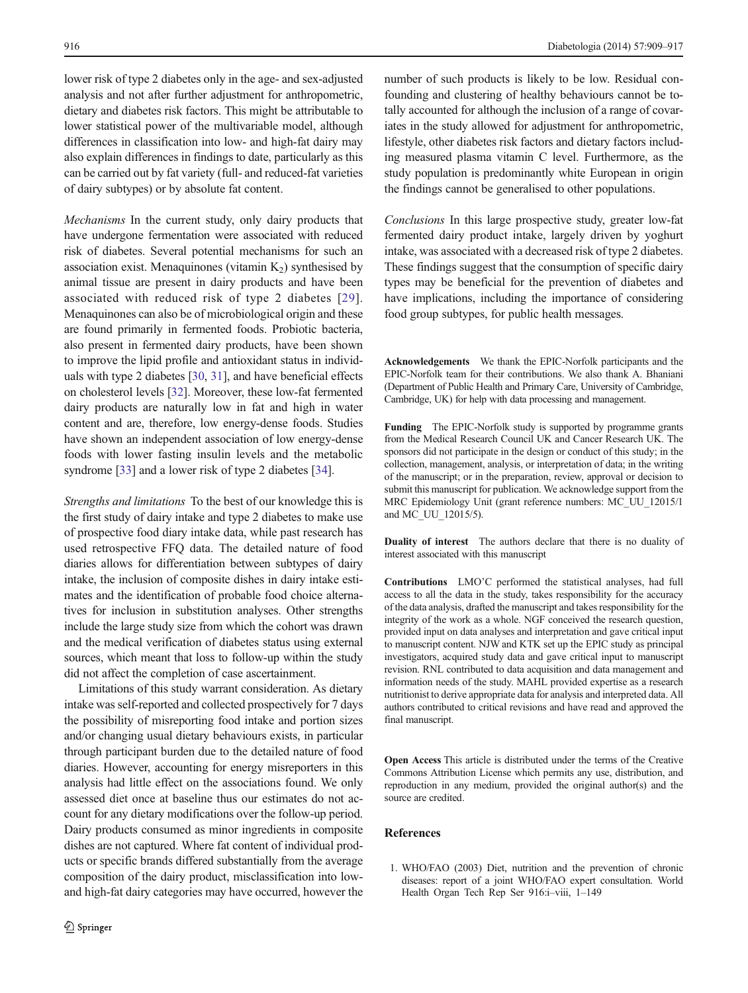<span id="page-7-0"></span>lower risk of type 2 diabetes only in the age- and sex-adjusted analysis and not after further adjustment for anthropometric, dietary and diabetes risk factors. This might be attributable to lower statistical power of the multivariable model, although differences in classification into low- and high-fat dairy may also explain differences in findings to date, particularly as this can be carried out by fat variety (full- and reduced-fat varieties of dairy subtypes) or by absolute fat content.

Mechanisms In the current study, only dairy products that have undergone fermentation were associated with reduced risk of diabetes. Several potential mechanisms for such an association exist. Menaquinones (vitamin  $K_2$ ) synthesised by animal tissue are present in dairy products and have been associated with reduced risk of type 2 diabetes [\[29](#page-8-0)]. Menaquinones can also be of microbiological origin and these are found primarily in fermented foods. Probiotic bacteria, also present in fermented dairy products, have been shown to improve the lipid profile and antioxidant status in individuals with type 2 diabetes [\[30,](#page-8-0) [31\]](#page-8-0), and have beneficial effects on cholesterol levels [\[32](#page-8-0)]. Moreover, these low-fat fermented dairy products are naturally low in fat and high in water content and are, therefore, low energy-dense foods. Studies have shown an independent association of low energy-dense foods with lower fasting insulin levels and the metabolic syndrome [\[33\]](#page-8-0) and a lower risk of type 2 diabetes [\[34\]](#page-8-0).

Strengths and limitations To the best of our knowledge this is the first study of dairy intake and type 2 diabetes to make use of prospective food diary intake data, while past research has used retrospective FFQ data. The detailed nature of food diaries allows for differentiation between subtypes of dairy intake, the inclusion of composite dishes in dairy intake estimates and the identification of probable food choice alternatives for inclusion in substitution analyses. Other strengths include the large study size from which the cohort was drawn and the medical verification of diabetes status using external sources, which meant that loss to follow-up within the study did not affect the completion of case ascertainment.

Limitations of this study warrant consideration. As dietary intake was self-reported and collected prospectively for 7 days the possibility of misreporting food intake and portion sizes and/or changing usual dietary behaviours exists, in particular through participant burden due to the detailed nature of food diaries. However, accounting for energy misreporters in this analysis had little effect on the associations found. We only assessed diet once at baseline thus our estimates do not account for any dietary modifications over the follow-up period. Dairy products consumed as minor ingredients in composite dishes are not captured. Where fat content of individual products or specific brands differed substantially from the average composition of the dairy product, misclassification into lowand high-fat dairy categories may have occurred, however the

number of such products is likely to be low. Residual confounding and clustering of healthy behaviours cannot be totally accounted for although the inclusion of a range of covariates in the study allowed for adjustment for anthropometric, lifestyle, other diabetes risk factors and dietary factors including measured plasma vitamin C level. Furthermore, as the study population is predominantly white European in origin the findings cannot be generalised to other populations.

Conclusions In this large prospective study, greater low-fat fermented dairy product intake, largely driven by yoghurt intake, was associated with a decreased risk of type 2 diabetes. These findings suggest that the consumption of specific dairy types may be beneficial for the prevention of diabetes and have implications, including the importance of considering food group subtypes, for public health messages.

Acknowledgements We thank the EPIC-Norfolk participants and the EPIC-Norfolk team for their contributions. We also thank A. Bhaniani (Department of Public Health and Primary Care, University of Cambridge, Cambridge, UK) for help with data processing and management.

Funding The EPIC-Norfolk study is supported by programme grants from the Medical Research Council UK and Cancer Research UK. The sponsors did not participate in the design or conduct of this study; in the collection, management, analysis, or interpretation of data; in the writing of the manuscript; or in the preparation, review, approval or decision to submit this manuscript for publication. We acknowledge support from the MRC Epidemiology Unit (grant reference numbers: MC\_UU\_12015/1 and MC\_UU\_12015/5).

Duality of interest The authors declare that there is no duality of interest associated with this manuscript

Contributions LMO'C performed the statistical analyses, had full access to all the data in the study, takes responsibility for the accuracy of the data analysis, drafted the manuscript and takes responsibility for the integrity of the work as a whole. NGF conceived the research question, provided input on data analyses and interpretation and gave critical input to manuscript content. NJW and KTK set up the EPIC study as principal investigators, acquired study data and gave critical input to manuscript revision. RNL contributed to data acquisition and data management and information needs of the study. MAHL provided expertise as a research nutritionist to derive appropriate data for analysis and interpreted data. All authors contributed to critical revisions and have read and approved the final manuscript.

Open Access This article is distributed under the terms of the Creative Commons Attribution License which permits any use, distribution, and reproduction in any medium, provided the original author(s) and the source are credited.

## References

1. WHO/FAO (2003) Diet, nutrition and the prevention of chronic diseases: report of a joint WHO/FAO expert consultation. World Health Organ Tech Rep Ser 916:i–viii, 1–149